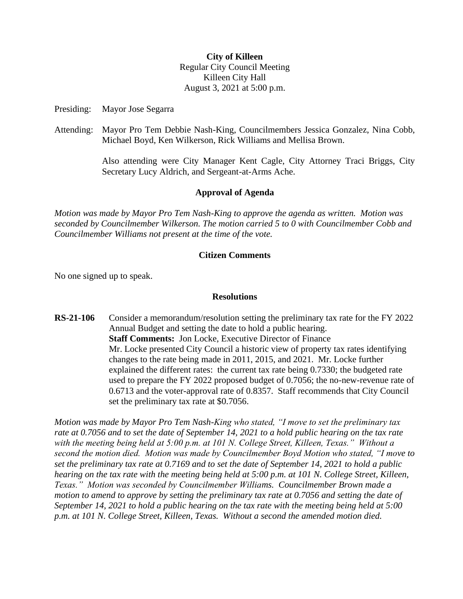### **City of Killeen**

Regular City Council Meeting Killeen City Hall August 3, 2021 at 5:00 p.m.

Presiding: Mayor Jose Segarra

Attending: Mayor Pro Tem Debbie Nash-King, Councilmembers Jessica Gonzalez, Nina Cobb, Michael Boyd, Ken Wilkerson, Rick Williams and Mellisa Brown.

> Also attending were City Manager Kent Cagle, City Attorney Traci Briggs, City Secretary Lucy Aldrich, and Sergeant-at-Arms Ache.

# **Approval of Agenda**

*Motion was made by Mayor Pro Tem Nash-King to approve the agenda as written. Motion was seconded by Councilmember Wilkerson. The motion carried 5 to 0 with Councilmember Cobb and Councilmember Williams not present at the time of the vote.*

# **Citizen Comments**

No one signed up to speak.

## **Resolutions**

**RS-21-106** Consider a memorandum/resolution setting the preliminary tax rate for the FY 2022 Annual Budget and setting the date to hold a public hearing. **Staff Comments:** Jon Locke, Executive Director of Finance Mr. Locke presented City Council a historic view of property tax rates identifying changes to the rate being made in 2011, 2015, and 2021. Mr. Locke further explained the different rates: the current tax rate being 0.7330; the budgeted rate used to prepare the FY 2022 proposed budget of 0.7056; the no-new-revenue rate of 0.6713 and the voter-approval rate of 0.8357. Staff recommends that City Council set the preliminary tax rate at \$0.7056.

*Motion was made by Mayor Pro Tem Nash-King who stated, "I move to set the preliminary tax rate at 0.7056 and to set the date of September 14, 2021 to a hold public hearing on the tax rate with the meeting being held at 5:00 p.m. at 101 N. College Street, Killeen, Texas." Without a second the motion died. Motion was made by Councilmember Boyd Motion who stated, "I move to set the preliminary tax rate at 0.7169 and to set the date of September 14, 2021 to hold a public hearing on the tax rate with the meeting being held at 5:00 p.m. at 101 N. College Street, Killeen, Texas." Motion was seconded by Councilmember Williams. Councilmember Brown made a motion to amend to approve by setting the preliminary tax rate at 0.7056 and setting the date of September 14, 2021 to hold a public hearing on the tax rate with the meeting being held at 5:00 p.m. at 101 N. College Street, Killeen, Texas. Without a second the amended motion died.*